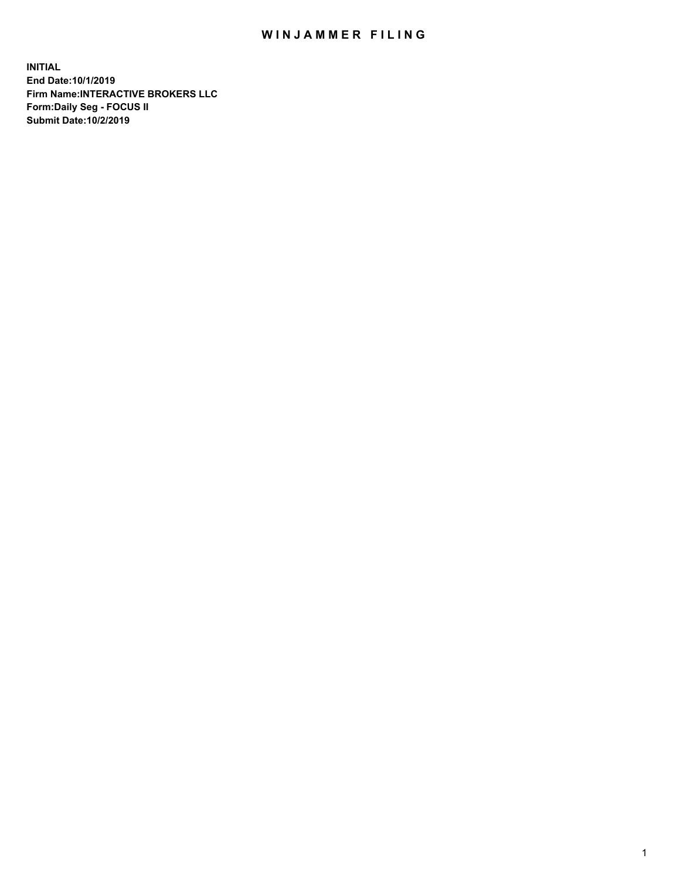## WIN JAMMER FILING

**INITIAL End Date:10/1/2019 Firm Name:INTERACTIVE BROKERS LLC Form:Daily Seg - FOCUS II Submit Date:10/2/2019**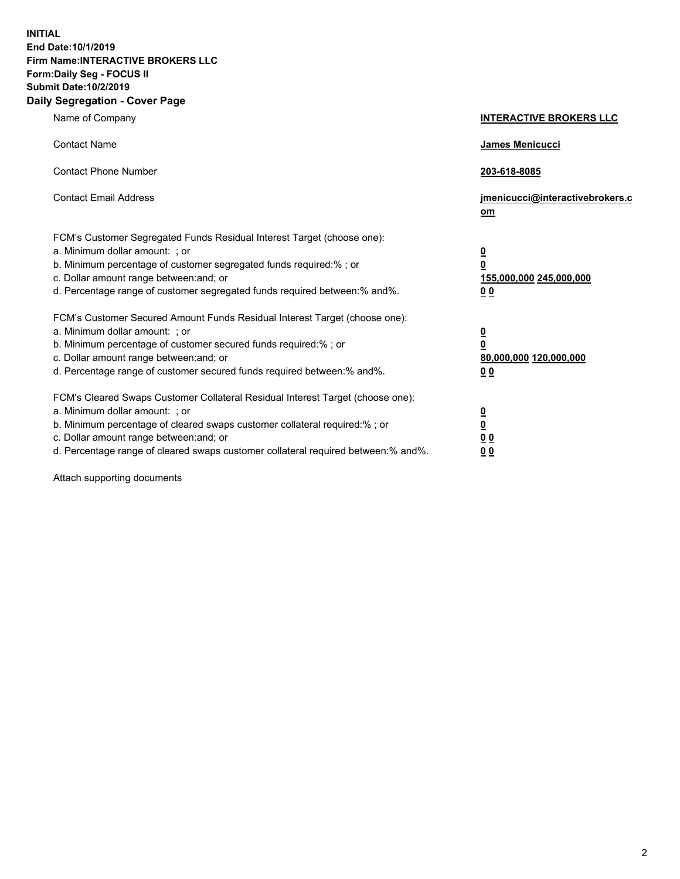**INITIAL End Date:10/1/2019 Firm Name:INTERACTIVE BROKERS LLC Form:Daily Seg - FOCUS II Submit Date:10/2/2019 Daily Segregation - Cover Page**

| Name of Company                                                                                                                                                                                                                                                                                                                | <b>INTERACTIVE BROKERS LLC</b>                                                                  |
|--------------------------------------------------------------------------------------------------------------------------------------------------------------------------------------------------------------------------------------------------------------------------------------------------------------------------------|-------------------------------------------------------------------------------------------------|
| <b>Contact Name</b>                                                                                                                                                                                                                                                                                                            | James Menicucci                                                                                 |
| <b>Contact Phone Number</b>                                                                                                                                                                                                                                                                                                    | 203-618-8085                                                                                    |
| <b>Contact Email Address</b>                                                                                                                                                                                                                                                                                                   | jmenicucci@interactivebrokers.c<br>om                                                           |
| FCM's Customer Segregated Funds Residual Interest Target (choose one):<br>a. Minimum dollar amount: ; or<br>b. Minimum percentage of customer segregated funds required:% ; or<br>c. Dollar amount range between: and; or<br>d. Percentage range of customer segregated funds required between:% and%.                         | $\overline{\mathbf{0}}$<br>$\overline{\mathbf{0}}$<br>155,000,000 245,000,000<br>0 <sub>0</sub> |
| FCM's Customer Secured Amount Funds Residual Interest Target (choose one):<br>a. Minimum dollar amount: ; or<br>b. Minimum percentage of customer secured funds required:%; or<br>c. Dollar amount range between: and; or<br>d. Percentage range of customer secured funds required between:% and%.                            | <u>0</u><br>$\overline{\mathbf{0}}$<br>80,000,000 120,000,000<br>0 <sub>0</sub>                 |
| FCM's Cleared Swaps Customer Collateral Residual Interest Target (choose one):<br>a. Minimum dollar amount: ; or<br>b. Minimum percentage of cleared swaps customer collateral required:% ; or<br>c. Dollar amount range between: and; or<br>d. Percentage range of cleared swaps customer collateral required between:% and%. | $\frac{0}{0}$<br>$\underline{0}$ $\underline{0}$<br>0 <sub>0</sub>                              |

Attach supporting documents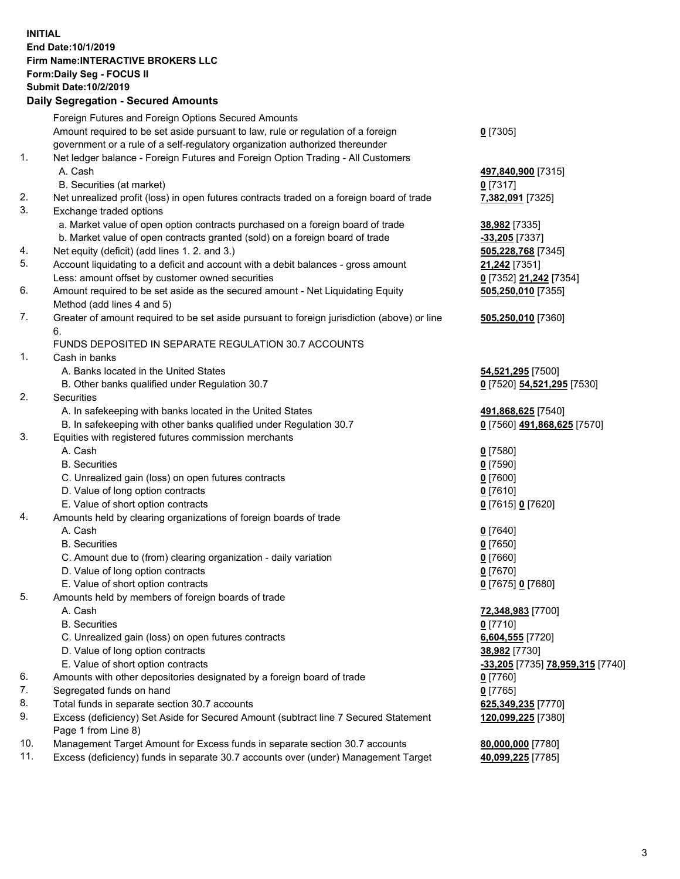## **INITIAL End Date:10/1/2019 Firm Name:INTERACTIVE BROKERS LLC Form:Daily Seg - FOCUS II Submit Date:10/2/2019 Daily Segregation - Secured Amounts**

|     | Daily Segregation - Secured Amounts                                                                        |                                  |
|-----|------------------------------------------------------------------------------------------------------------|----------------------------------|
|     | Foreign Futures and Foreign Options Secured Amounts                                                        |                                  |
|     | Amount required to be set aside pursuant to law, rule or regulation of a foreign                           | $0$ [7305]                       |
|     | government or a rule of a self-regulatory organization authorized thereunder                               |                                  |
| 1.  | Net ledger balance - Foreign Futures and Foreign Option Trading - All Customers                            |                                  |
|     | A. Cash                                                                                                    | 497,840,900 [7315]               |
|     | B. Securities (at market)                                                                                  | $0$ [7317]                       |
| 2.  | Net unrealized profit (loss) in open futures contracts traded on a foreign board of trade                  | 7,382,091 [7325]                 |
| 3.  | Exchange traded options                                                                                    |                                  |
|     | a. Market value of open option contracts purchased on a foreign board of trade                             | 38,982 [7335]                    |
|     | b. Market value of open contracts granted (sold) on a foreign board of trade                               | -33,205 [7337]                   |
| 4.  | Net equity (deficit) (add lines 1.2. and 3.)                                                               | 505,228,768 [7345]               |
| 5.  | Account liquidating to a deficit and account with a debit balances - gross amount                          | 21,242 [7351]                    |
|     | Less: amount offset by customer owned securities                                                           | 0 [7352] 21,242 [7354]           |
| 6.  | Amount required to be set aside as the secured amount - Net Liquidating Equity                             | 505,250,010 [7355]               |
|     | Method (add lines 4 and 5)                                                                                 |                                  |
| 7.  | Greater of amount required to be set aside pursuant to foreign jurisdiction (above) or line                | 505,250,010 [7360]               |
|     | 6.                                                                                                         |                                  |
|     | FUNDS DEPOSITED IN SEPARATE REGULATION 30.7 ACCOUNTS                                                       |                                  |
| 1.  | Cash in banks                                                                                              |                                  |
|     | A. Banks located in the United States                                                                      | 54,521,295 [7500]                |
| 2.  | B. Other banks qualified under Regulation 30.7<br><b>Securities</b>                                        | 0 [7520] 54,521,295 [7530]       |
|     | A. In safekeeping with banks located in the United States                                                  | 491,868,625 [7540]               |
|     | B. In safekeeping with other banks qualified under Regulation 30.7                                         | 0 [7560] 491,868,625 [7570]      |
| 3.  | Equities with registered futures commission merchants                                                      |                                  |
|     | A. Cash                                                                                                    | $0$ [7580]                       |
|     | <b>B.</b> Securities                                                                                       | $0$ [7590]                       |
|     | C. Unrealized gain (loss) on open futures contracts                                                        | $0$ [7600]                       |
|     | D. Value of long option contracts                                                                          | $0$ [7610]                       |
|     | E. Value of short option contracts                                                                         | 0 [7615] 0 [7620]                |
| 4.  | Amounts held by clearing organizations of foreign boards of trade                                          |                                  |
|     | A. Cash                                                                                                    | $0$ [7640]                       |
|     | <b>B.</b> Securities                                                                                       | $0$ [7650]                       |
|     | C. Amount due to (from) clearing organization - daily variation                                            | $0$ [7660]                       |
|     | D. Value of long option contracts                                                                          | $0$ [7670]                       |
|     | E. Value of short option contracts                                                                         | 0 [7675] 0 [7680]                |
| 5.  | Amounts held by members of foreign boards of trade                                                         |                                  |
|     | A. Cash                                                                                                    | 72,348,983 [7700]                |
|     | <b>B.</b> Securities                                                                                       | $0$ [7710]                       |
|     | C. Unrealized gain (loss) on open futures contracts                                                        | 6,604,555 [7720]                 |
|     | D. Value of long option contracts                                                                          | 38,982 [7730]                    |
|     | E. Value of short option contracts                                                                         | -33,205 [7735] 78,959,315 [7740] |
| 6.  | Amounts with other depositories designated by a foreign board of trade                                     | 0 [7760]                         |
| 7.  | Segregated funds on hand                                                                                   | $0$ [7765]                       |
| 8.  | Total funds in separate section 30.7 accounts                                                              | 625,349,235 [7770]               |
| 9.  | Excess (deficiency) Set Aside for Secured Amount (subtract line 7 Secured Statement<br>Page 1 from Line 8) | 120,099,225 [7380]               |
| 10. | Management Target Amount for Excess funds in separate section 30.7 accounts                                | 80,000,000 [7780]                |
| 11. | Excess (deficiency) funds in separate 30.7 accounts over (under) Management Target                         | 40,099,225 [7785]                |
|     |                                                                                                            |                                  |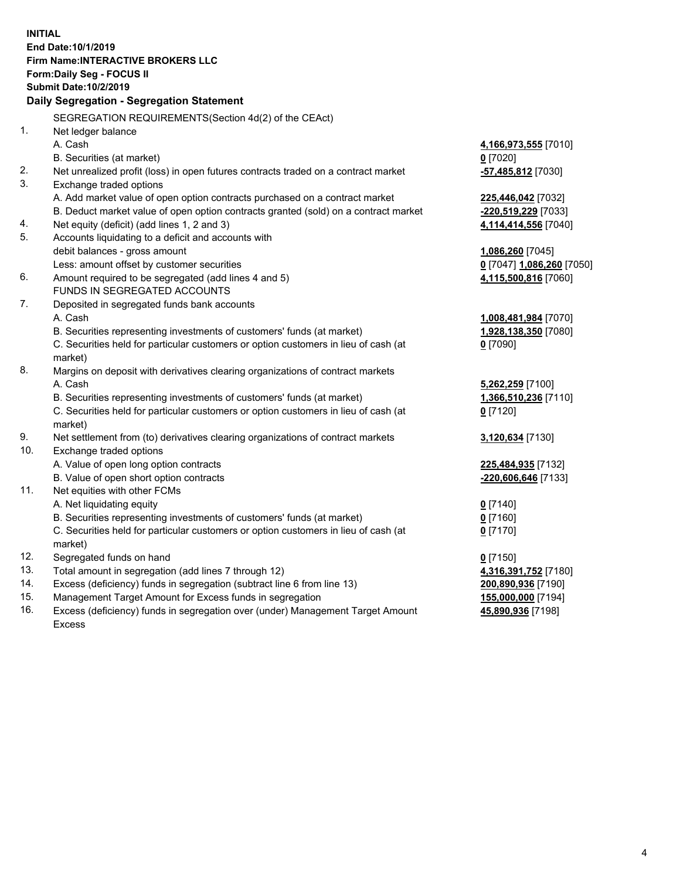**INITIAL End Date:10/1/2019 Firm Name:INTERACTIVE BROKERS LLC Form:Daily Seg - FOCUS II Submit Date:10/2/2019 Daily Segregation - Segregation Statement** SEGREGATION REQUIREMENTS(Section 4d(2) of the CEAct) 1. Net ledger balance A. Cash **4,166,973,555** [7010] B. Securities (at market) **0** [7020] 2. Net unrealized profit (loss) in open futures contracts traded on a contract market **-57,485,812** [7030] 3. Exchange traded options A. Add market value of open option contracts purchased on a contract market **225,446,042** [7032] B. Deduct market value of open option contracts granted (sold) on a contract market **-220,519,229** [7033] 4. Net equity (deficit) (add lines 1, 2 and 3) **4,114,414,556** [7040] 5. Accounts liquidating to a deficit and accounts with debit balances - gross amount **1,086,260** [7045] Less: amount offset by customer securities **0** [7047] **1,086,260** [7050] 6. Amount required to be segregated (add lines 4 and 5) **4,115,500,816** [7060] FUNDS IN SEGREGATED ACCOUNTS 7. Deposited in segregated funds bank accounts A. Cash **1,008,481,984** [7070] B. Securities representing investments of customers' funds (at market) **1,928,138,350** [7080] C. Securities held for particular customers or option customers in lieu of cash (at market) **0** [7090] 8. Margins on deposit with derivatives clearing organizations of contract markets A. Cash **5,262,259** [7100] B. Securities representing investments of customers' funds (at market) **1,366,510,236** [7110] C. Securities held for particular customers or option customers in lieu of cash (at market) **0** [7120] 9. Net settlement from (to) derivatives clearing organizations of contract markets **3,120,634** [7130] 10. Exchange traded options A. Value of open long option contracts **225,484,935** [7132] B. Value of open short option contracts **-220,606,646** [7133] 11. Net equities with other FCMs A. Net liquidating equity **0** [7140] B. Securities representing investments of customers' funds (at market) **0** [7160] C. Securities held for particular customers or option customers in lieu of cash (at market) **0** [7170] 12. Segregated funds on hand **0** [7150] 13. Total amount in segregation (add lines 7 through 12) **4,316,391,752** [7180] 14. Excess (deficiency) funds in segregation (subtract line 6 from line 13) **200,890,936** [7190] 15. Management Target Amount for Excess funds in segregation **155,000,000** [7194]

16. Excess (deficiency) funds in segregation over (under) Management Target Amount Excess

**45,890,936** [7198]